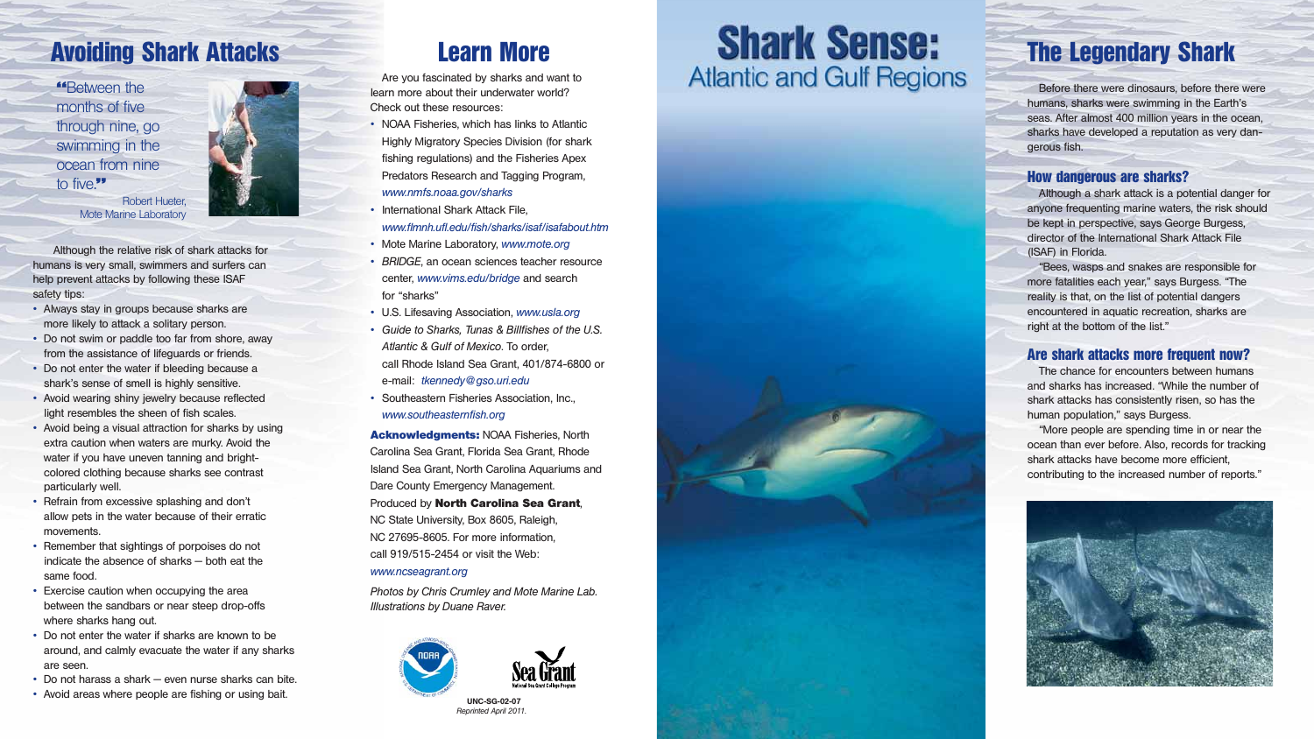# Avoiding Shark Attacks

Although the relative risk of shark attacks for humans is very small, swimmers and surfers can help prevent attacks by following these ISAF safety tips:

**"**Between the months of five through nine, go swimming in the ocean from nine **to five.**"



- Always stay in groups because sharks are more likely to attack a solitary person.
- Do not swim or paddle too far from shore, away from the assistance of lifeguards or friends.
- Do not enter the water if bleeding because a shark's sense of smell is highly sensitive.
- Avoid wearing shiny jewelry because reflected light resembles the sheen of fish scales.
- Avoid being a visual attraction for sharks by using extra caution when waters are murky. Avoid the water if you have uneven tanning and brightcolored clothing because sharks see contrast particularly well.
- Refrain from excessive splashing and don't allow pets in the water because of their erratic movements.
- Remember that sightings of porpoises do not indicate the absence of sharks — both eat the same food.
- Exercise caution when occupying the area between the sandbars or near steep drop-offs where sharks hang out.
- Do not enter the water if sharks are known to be around, and calmly evacuate the water if any sharks are seen.
- Do not harass a shark even nurse sharks can bite.
- Avoid areas where people are fishing or using bait.

### The Legendary Shark

Before there were dinosaurs, before there were humans, sharks were swimming in the Earth's seas. After almost 400 million years in the ocean, sharks have developed a reputation as very dangerous fish.

#### How dangerous are sharks?

Although a shark attack is a potential danger for anyone frequenting marine waters, the risk should be kept in perspective, says George Burgess, director of the International Shark Attack File (ISAF) in Florida.

"Bees, wasps and snakes are responsible for more fatalities each year," says Burgess. "The reality is that, on the list of potential dangers encountered in aquatic recreation, sharks are right at the bottom of the list."

#### Are shark attacks more frequent now?

The chance for encounters between humans and sharks has increased. "While the number of shark attacks has consistently risen, so has the human population," says Burgess.

"More people are spending time in or near the ocean than ever before. Also, records for tracking shark attacks have become more efficient, contributing to the increased number of reports."



## Learn More

Are you fascinated by sharks and want to learn more about their underwater world? Check out these resources:

- NOAA Fisheries, which has links to Atlantic Highly Migratory Species Division (for shark fishing regulations) and the Fisheries Apex Predators Research and Tagging Program, *www.nmfs.noaa.gov/sharks*
- International Shark Attack File, *www.flmnh.ufl.edu/fish/sharks/isaf/isafabout.htm*
- Mote Marine Laboratory, *www.mote.org*
- *BRIDGE*, an ocean sciences teacher resource center, *www.vims.edu/bridge* and search for "sharks"
- U.S. Lifesaving Association, *www.usla.org*
- *Guide to Sharks, Tunas & Billfishes of the U.S. Atlantic & Gulf of Mexico*. To order, call Rhode Island Sea Grant, 401/874-6800 or e-mail: *tkennedy@gso.uri.edu*
- *•* Southeastern Fisheries Association, Inc., *www.southeasternfish.org*

**Acknowledgments:** NOAA Fisheries, North Carolina Sea Grant, Florida Sea Grant, Rhode Island Sea Grant, North Carolina Aquariums and Dare County Emergency Management. Produced by **North Carolina Sea Grant** , NC State University, Box 8605, Raleigh, NC 27695-8605. For more information, call 919/515-2454 or visit the Web:

#### *www.ncseagrant.org*

*Photos by Chris Crumley and Mote Marine Lab. Illustrations by Duane Raver.*



# **Shark Sense: Atlantic and Gulf Regions**



to five. Robert Hueter,<br>Mote Marine Laboratory Mote Marine Laboratory